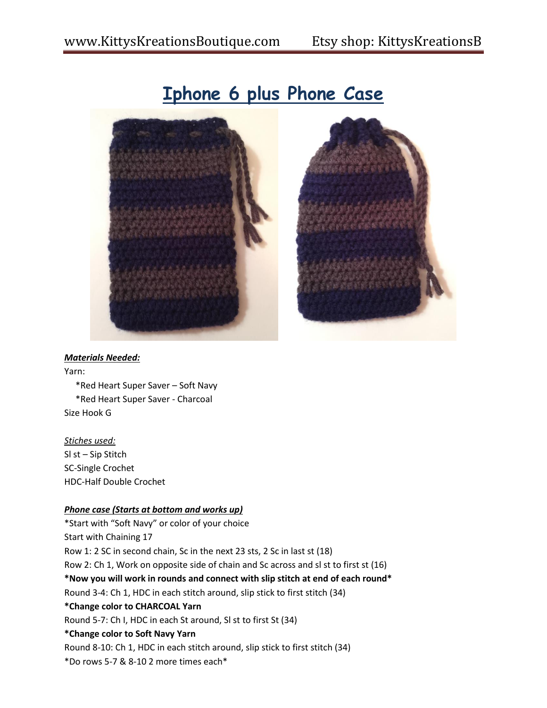

## *Materials Needed:*

Yarn:

 \*Red Heart Super Saver – Soft Navy \*Red Heart Super Saver - Charcoal Size Hook G

*Stiches used:* Sl st – Sip Stitch SC-Single Crochet HDC-Half Double Crochet

## *Phone case (Starts at bottom and works up)*

\*Start with "Soft Navy" or color of your choice Start with Chaining 17 Row 1: 2 SC in second chain, Sc in the next 23 sts, 2 Sc in last st (18) Row 2: Ch 1, Work on opposite side of chain and Sc across and sl st to first st (16) **\*Now you will work in rounds and connect with slip stitch at end of each round\*** Round 3-4: Ch 1, HDC in each stitch around, slip stick to first stitch (34) **\*Change color to CHARCOAL Yarn** Round 5-7: Ch I, HDC in each St around, Sl st to first St (34) **\*Change color to Soft Navy Yarn** Round 8-10: Ch 1, HDC in each stitch around, slip stick to first stitch (34) \*Do rows 5-7 & 8-10 2 more times each\*